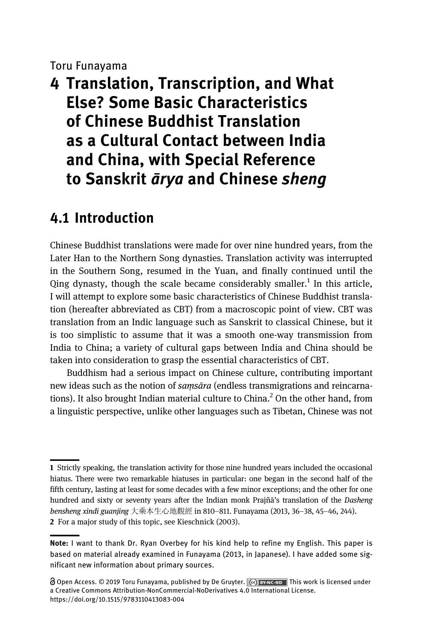#### Toru Funayama

# 4 Translation, Transcription, and What Else? Some Basic Characteristics of Chinese Buddhist Translation as a Cultural Contact between India and China, with Special Reference to Sanskrit <sup>ā</sup>rya and Chinese sheng

### 4.1 Introduction

Chinese Buddhist translations were made for over nine hundred years, from the Later Han to the Northern Song dynasties. Translation activity was interrupted in the Southern Song, resumed in the Yuan, and finally continued until the Qing dynasty, though the scale became considerably smaller.<sup>1</sup> In this article, I will attempt to explore some basic characteristics of Chinese Buddhist translation (hereafter abbreviated as CBT) from a macroscopic point of view. CBT was translation from an Indic language such as Sanskrit to classical Chinese, but it is too simplistic to assume that it was a smooth one-way transmission from India to China; a variety of cultural gaps between India and China should be taken into consideration to grasp the essential characteristics of CBT.

Buddhism had a serious impact on Chinese culture, contributing important new ideas such as the notion of *samsāra* (endless transmigrations and reincarnations). It also brought Indian material culture to China.<sup>2</sup> On the other hand, from a linguistic perspective, unlike other languages such as Tibetan, Chinese was not

<sup>1</sup> Strictly speaking, the translation activity for those nine hundred years included the occasional hiatus. There were two remarkable hiatuses in particular: one began in the second half of the fifth century, lasting at least for some decades with a few minor exceptions; and the other for one hundred and sixty or seventy years after the Indian monk Prajñā's translation of the Dasheng bensheng xindi guanjing 大乘本生心地觀經 in 810–811. Funayama (2013, 36–38, 45–46, 244). 2 For a major study of this topic, see Kieschnick (2003).

Note: I want to thank Dr. Ryan Overbey for his kind help to refine my English. This paper is based on material already examined in Funayama (2013, in Japanese). I have added some significant new information about primary sources.

a Open Access. © 2019 Toru Funayama, published by De Gruyter. [© ] ВУАКСАРО This work is licensed under a Creative Commons Attribution-NonCommercial-NoDerivatives 4.0 International License. <https://doi.org/10.1515/9783110413083-004>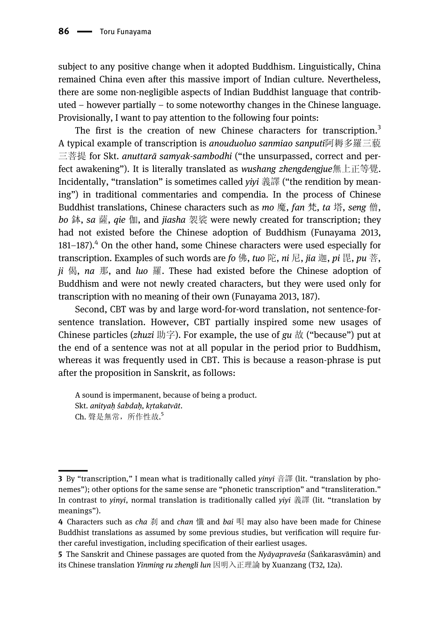subject to any positive change when it adopted Buddhism. Linguistically, China remained China even after this massive import of Indian culture. Nevertheless, there are some non-negligible aspects of Indian Buddhist language that contributed – however partially – to some noteworthy changes in the Chinese language. Provisionally, I want to pay attention to the following four points:

The first is the creation of new Chinese characters for transcription.<sup>3</sup> A typical example of transcription is anouduoluo sanmiao sanputi阿耨多羅三藐 三菩提 for Skt. anuttarā samyak-sambodhi ("the unsurpassed, correct and perfect awakening"). It is literally translated as *wushang zhengdengjue*無上正等覺. Incidentally, "translation" is sometimes called yiyi 義譯 ("the rendition by meaning") in traditional commentaries and compendia. In the process of Chinese Buddhist translations, Chinese characters such as *mo* 魔, *fan* 梵, *ta* 塔, *seng* 僧, bo 鉢, sa 薩, qie 伽, and jiasha 袈裟 were newly created for transcription; they had not existed before the Chinese adoption of Buddhism (Funayama 2013,  $181-187$ .<sup>4</sup> On the other hand, some Chinese characters were used especially for transcription. Examples of such words are  $f$ o 佛, tuo 陀, ni 尼, jia 迦, pi 毘, pu 菩,  $ji \&$ ,  $na \#$ , and luo  $\mathbb{F}$ . These had existed before the Chinese adoption of Buddhism and were not newly created characters, but they were used only for transcription with no meaning of their own (Funayama 2013, 187).

Second, CBT was by and large word-for-word translation, not sentence-forsentence translation. However, CBT partially inspired some new usages of Chinese particles (*zhuzi* 助字). For example, the use of *gu* 故 ("because") put at the end of a sentence was not at all popular in the period prior to Buddhism, whereas it was frequently used in CBT. This is because a reason-phrase is put after the proposition in Sanskrit, as follows:

A sound is impermanent, because of being a product. Skt. anityaḥ śabdaḥ, kṛtakatvāt. Ch. 聲是無常, 所作性故.<sup>5</sup>

**<sup>3</sup>** By "transcription," I mean what is traditionally called *yinyi* 音譯 (lit. "translation by phonemes"); other options for the same sense are "phonetic transcription" and "transliteration." In contrast to yinyi, normal translation is traditionally called yiyi 義譯 (lit. "translation by meanings").

<sup>4</sup> Characters such as *cha* 刹 and *chan* 懺 and *bai* 唄 may also have been made for Chinese Buddhist translations as assumed by some previous studies, but verification will require further careful investigation, including specification of their earliest usages.

<sup>5</sup> The Sanskrit and Chinese passages are quoted from the  $Ny\bar{a}y$ apraveśa (Śaṅkarasvāmin) and its Chinese translation Yinming ru zhengli lun 因明入正理論 by Xuanzang (T32, 12a).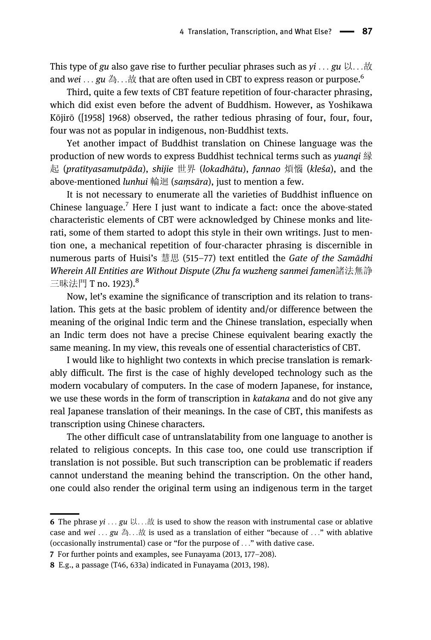This type of gu also gave rise to further peculiar phrases such as  $y_i \ldots gu \cup \ldots \cup y$ and wei  $\ldots$  gu 為 $\ldots$  that are often used in CBT to express reason or purpose.<sup>6</sup>

Third, quite a few texts of CBT feature repetition of four-character phrasing, which did exist even before the advent of Buddhism. However, as Yoshikawa Kōjirō ([1958] 1968) observed, the rather tedious phrasing of four, four, four, four was not as popular in indigenous, non-Buddhist texts.

Yet another impact of Buddhist translation on Chinese language was the production of new words to express Buddhist technical terms such as yuanqi 縁 起 (pratītyasamutpāda), shijie 世界 (lokadhātu), fannao 煩惱 (kleśa), and the above-mentioned *lunhui*輪迴 (samsāra), just to mention a few.

It is not necessary to enumerate all the varieties of Buddhist influence on Chinese language.<sup>7</sup> Here I just want to indicate a fact: once the above-stated characteristic elements of CBT were acknowledged by Chinese monks and literati, some of them started to adopt this style in their own writings. Just to mention one, a mechanical repetition of four-character phrasing is discernible in numerous parts of Huisi's 慧思 (515-77) text entitled the Gate of the Samādhi Wherein All Entities are Without Dispute (Zhu fa wuzheng sanmei famen諸法無諍 三昧法門 T no. 1923).<sup>8</sup>

Now, let's examine the significance of transcription and its relation to translation. This gets at the basic problem of identity and/or difference between the meaning of the original Indic term and the Chinese translation, especially when an Indic term does not have a precise Chinese equivalent bearing exactly the same meaning. In my view, this reveals one of essential characteristics of CBT.

I would like to highlight two contexts in which precise translation is remarkably difficult. The first is the case of highly developed technology such as the modern vocabulary of computers. In the case of modern Japanese, for instance, we use these words in the form of transcription in *katakana* and do not give any real Japanese translation of their meanings. In the case of CBT, this manifests as transcription using Chinese characters.

The other difficult case of untranslatability from one language to another is related to religious concepts. In this case too, one could use transcription if translation is not possible. But such transcription can be problematic if readers cannot understand the meaning behind the transcription. On the other hand, one could also render the original term using an indigenous term in the target

<sup>6</sup> The phrase yi ... gu  $\emptyset$ ...  $\mathcal{X}$  is used to show the reason with instrumental case or ablative case and wei ... gu  $\ddot{\triangle}$ ... it is used as a translation of either "because of ..." with ablative (occasionally instrumental) case or "for the purpose of ..." with dative case.

<sup>7</sup> For further points and examples, see Funayama (2013, 177–208).

<sup>8</sup> E.g., a passage (T46, 633a) indicated in Funayama (2013, 198).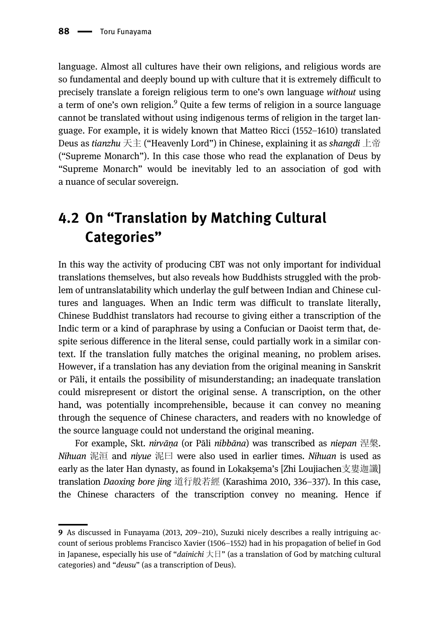language. Almost all cultures have their own religions, and religious words are so fundamental and deeply bound up with culture that it is extremely difficult to precisely translate a foreign religious term to one's own language without using a term of one's own religion.<sup>9</sup> Quite a few terms of religion in a source language cannot be translated without using indigenous terms of religion in the target language. For example, it is widely known that Matteo Ricci (1552–1610) translated Deus as *tianzhu* 天主 ("Heavenly Lord") in Chinese, explaining it as *shangdi* 上帝 ("Supreme Monarch"). In this case those who read the explanation of Deus by "Supreme Monarch" would be inevitably led to an association of god with a nuance of secular sovereign.

## 4.2 On "Translation by Matching Cultural Categories"

In this way the activity of producing CBT was not only important for individual translations themselves, but also reveals how Buddhists struggled with the problem of untranslatability which underlay the gulf between Indian and Chinese cultures and languages. When an Indic term was difficult to translate literally, Chinese Buddhist translators had recourse to giving either a transcription of the Indic term or a kind of paraphrase by using a Confucian or Daoist term that, despite serious difference in the literal sense, could partially work in a similar context. If the translation fully matches the original meaning, no problem arises. However, if a translation has any deviation from the original meaning in Sanskrit or Pāli, it entails the possibility of misunderstanding; an inadequate translation could misrepresent or distort the original sense. A transcription, on the other hand, was potentially incomprehensible, because it can convey no meaning through the sequence of Chinese characters, and readers with no knowledge of the source language could not understand the original meaning.

For example, Skt. nirvāṇa (or Pāli nibbāna) was transcribed as niepan 涅槃. Nihuan 泥洹 and nivue 泥曰 were also used in earlier times. Nihuan is used as early as the later Han dynasty, as found in Lokakṣema's [Zhi Loujiachen支婁迦讖] translation Daoxing bore jing 道行般若經 (Karashima 2010, 336–337). In this case, the Chinese characters of the transcription convey no meaning. Hence if

<sup>9</sup> As discussed in Funayama (2013, 209–210), Suzuki nicely describes a really intriguing account of serious problems Francisco Xavier (1506–1552) had in his propagation of belief in God in Japanese, especially his use of "*dainichi*  $\pm \mathbb{H}$ " (as a translation of God by matching cultural categories) and "deusu" (as a transcription of Deus).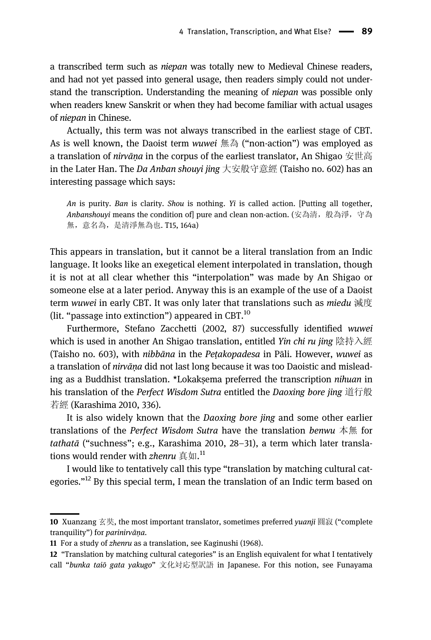a transcribed term such as niepan was totally new to Medieval Chinese readers, and had not yet passed into general usage, then readers simply could not understand the transcription. Understanding the meaning of niepan was possible only when readers knew Sanskrit or when they had become familiar with actual usages of niepan in Chinese.

Actually, this term was not always transcribed in the earliest stage of CBT. As is well known, the Daoist term *wuwei* 無為 ("non-action") was employed as a translation of *nirvāna* in the corpus of the earliest translator, An Shigao 安世高 in the Later Han. The *Da Anban shouvi jing* 大安般守意經 (Taisho no. 602) has an interesting passage which says:

An is purity. Ban is clarity. Shou is nothing. Yi is called action. [Putting all together, Anbanshouyi means the condition of] pure and clean non-action. (安為清, 般為淨, 守為 無,意名為,是清淨無為也. T15, 164a)

This appears in translation, but it cannot be a literal translation from an Indic language. It looks like an exegetical element interpolated in translation, though it is not at all clear whether this "interpolation" was made by An Shigao or someone else at a later period. Anyway this is an example of the use of a Daoist term wuwei in early CBT. It was only later that translations such as *miedu* 滅度 (lit. "passage into extinction") appeared in CBT. $^{10}$ 

Furthermore, Stefano Zacchetti (2002, 87) successfully identified wuwei which is used in another An Shigao translation, entitled *Yin chi ru jing* 陰持入經 (Taisho no. 603), with *nibbāna* in the *Petakopadesa* in Pāli. However, wuwei as a translation of *nirvāna* did not last long because it was too Daoistic and misleading as a Buddhist translation. \*Lokakṣema preferred the transcription nihuan in his translation of the *Perfect Wisdom Sutra* entitled the *Daoxing bore jing* 道行般 若經 (Karashima 2010, 336).

It is also widely known that the Daoxing bore jing and some other earlier translations of the *Perfect Wisdom Sutra* have the translation *benwu* 本無 for tathatā ("suchness"; e.g., Karashima 2010, 28-31), a term which later translations would render with *zhenru* 真如.<sup>11</sup>

I would like to tentatively call this type "translation by matching cultural categories."<sup>12</sup> By this special term, I mean the translation of an Indic term based on

**<sup>10</sup>** Xuanzang 玄奘, the most important translator, sometimes preferred yuanji 圓寂 ("complete tranquility") for parinirvāṇa.

<sup>11</sup> For a study of *zhenru* as a translation, see Kaginushi (1968).

<sup>12</sup> "Translation by matching cultural categories" is an English equivalent for what I tentatively call "bunka taiō gata yakugo" 文化対応型訳語 in Japanese. For this notion, see Funayama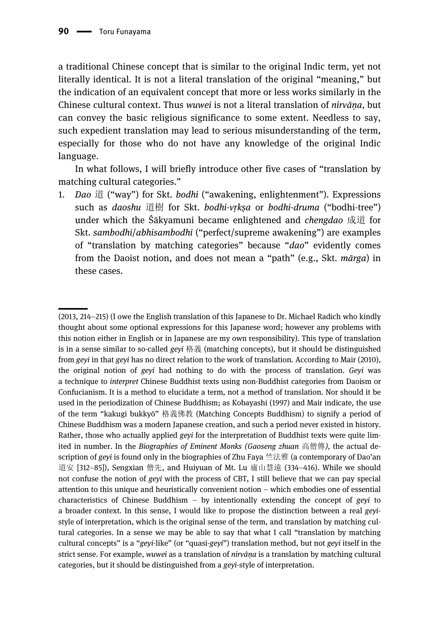a traditional Chinese concept that is similar to the original Indic term, yet not literally identical. It is not a literal translation of the original "meaning," but the indication of an equivalent concept that more or less works similarly in the Chinese cultural context. Thus wuwei is not a literal translation of nirvāna, but can convey the basic religious significance to some extent. Needless to say, such expedient translation may lead to serious misunderstanding of the term, especially for those who do not have any knowledge of the original Indic language.

In what follows, I will briefly introduce other five cases of "translation by matching cultural categories."

1. Dao  $\hat{\mathbb{I}}$  ("way") for Skt. bodhi ("awakening, enlightenment"). Expressions such as *daoshu* 道樹 for Skt. bodhi-vrksa or bodhi-druma ("bodhi-tree") under which the Śākyamuni became enlightened and *chengdao* 成道 for Skt. sambodhi/abhisambodhi ("perfect/supreme awakening") are examples of "translation by matching categories" because "dao" evidently comes from the Daoist notion, and does not mean a "path" (e.g., Skt. mārga) in these cases.

<sup>(2013, 214</sup>–215) (I owe the English translation of this Japanese to Dr. Michael Radich who kindly thought about some optional expressions for this Japanese word; however any problems with this notion either in English or in Japanese are my own responsibility). This type of translation is in a sense similar to so-called *gevi* 格義 (matching concepts), but it should be distinguished from geyi in that geyi has no direct relation to the work of translation. According to Mair (2010), the original notion of *gevi* had nothing to do with the process of translation. Gevi was a technique to interpret Chinese Buddhist texts using non-Buddhist categories from Daoism or Confucianism. It is a method to elucidate a term, not a method of translation. Nor should it be used in the periodization of Chinese Buddhism; as Kobayashi (1997) and Mair indicate, the use of the term "kakugi bukkyō" 格義佛教 (Matching Concepts Buddhism) to signify a period of Chinese Buddhism was a modern Japanese creation, and such a period never existed in history. Rather, those who actually applied *geyi* for the interpretation of Buddhist texts were quite limited in number. In the Biographies of Eminent Monks (Gaoseng zhuan 高僧傳), the actual description of *geyi* is found only in the biographies of Zhu Faya 竺法雅 (a contemporary of Dao'an 道安 [312–85]), Sengxian 僧先, and Huiyuan of Mt. Lu 廬山慧遠 (334–416). While we should not confuse the notion of geyi with the process of CBT, I still believe that we can pay special attention to this unique and heuristically convenient notion – which embodies one of essential characteristics of Chinese Buddhism  $-$  by intentionally extending the concept of *geyi* to a broader context. In this sense, I would like to propose the distinction between a real geyistyle of interpretation, which is the original sense of the term, and translation by matching cultural categories. In a sense we may be able to say that what I call "translation by matching cultural concepts" is a "geyi-like" (or "quasi-geyi") translation method, but not geyi itself in the strict sense. For example, wuwei as a translation of nirvāņa is a translation by matching cultural categories, but it should be distinguished from a geyi-style of interpretation.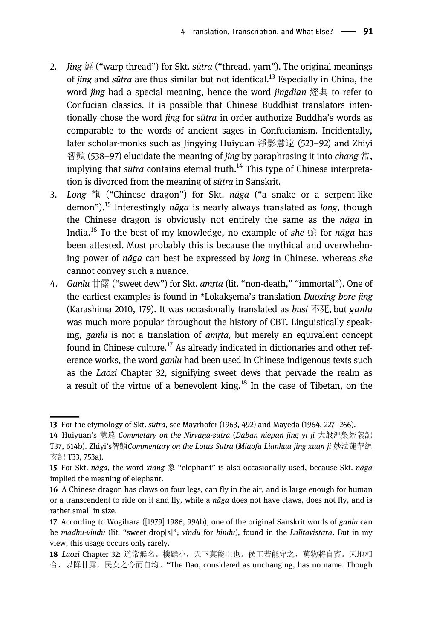- 2. *Jing*  $\mathcal{L}$  ("warp thread") for Skt. *sūtra* ("thread, yarn"). The original meanings of *jing* and *sūtra* are thus similar but not identical.<sup>13</sup> Especially in China, the word jing had a special meaning, hence the word jingdian 經典 to refer to Confucian classics. It is possible that Chinese Buddhist translators intentionally chose the word jing for sūtra in order authorize Buddha's words as comparable to the words of ancient sages in Confucianism. Incidentally, later scholar-monks such as Jingying Huiyuan 淨影慧遠 (523–92) and Zhiyi 智顗 (538–97) elucidate the meaning of *jing* by paraphrasing it into *chang* 常, implying that *sūtra* contains eternal truth.<sup>14</sup> This type of Chinese interpretation is divorced from the meaning of sūtra in Sanskrit.
- 3. Long 龍 ("Chinese dragon") for Skt.  $n\bar{a}g$  ("a snake or a serpent-like demon").<sup>15</sup> Interestingly *nāga* is nearly always translated as *long*, though the Chinese dragon is obviously not entirely the same as the nāga in India.<sup>16</sup> To the best of my knowledge, no example of she  $\dot{w}$  for naga has been attested. Most probably this is because the mythical and overwhelming power of nāga can best be expressed by long in Chinese, whereas she cannot convey such a nuance.
- 4. Ganlu  $\pm \bar{\mathbb{g}}$  ("sweet dew") for Skt. amrta (lit. "non-death," "immortal"). One of the earliest examples is found in  $*$ Lokaksema's translation *Daoxing bore jing* (Karashima 2010, 179). It was occasionally translated as *busi* 不死, but ganlu was much more popular throughout the history of CBT. Linguistically speaking, *ganlu* is not a translation of *amrta*, but merely an equivalent concept found in Chinese culture.<sup>17</sup> As already indicated in dictionaries and other reference works, the word ganlu had been used in Chinese indigenous texts such as the Laozi Chapter 32, signifying sweet dews that pervade the realm as a result of the virtue of a benevolent king.18 In the case of Tibetan, on the

<sup>13</sup> For the etymology of Skt. sūtra, see Mayrhofer (1963, 492) and Mayeda (1964, 227–266).

<sup>14</sup> Huiyuan's 慧遠 Commetary on the Nirvāṇa-sūtra (Daban niepan jing yi ji 大般涅槃經義記 T37, 614b). Zhiyi's智顗Commentary on the Lotus Sutra (Miaofa Lianhua jing xuan ji 妙法蓮華經 玄記 T33, 753a).

**<sup>15</sup>** For Skt.  $nāga$ , the word xiang 象 "elephant" is also occasionally used, because Skt.  $nāga$ implied the meaning of elephant.

<sup>16</sup> A Chinese dragon has claws on four legs, can fly in the air, and is large enough for human or a transcendent to ride on it and fly, while a naga does not have claws, does not fly, and is rather small in size.

<sup>17</sup> According to Wogihara ([1979] 1986, 994b), one of the original Sanskrit words of *ganlu* can be madhu-vindu (lit. "sweet drop[s]"; vindu for bindu), found in the Lalitavistara. But in my view, this usage occurs only rarely.

<sup>18</sup> Laozi Chapter 32: 道常無名。樸雖小,天下莫能臣也。侯王若能守之, 萬物將自賓。天地相 合,以降甘露,民莫之令而自均。"The Dao, considered as unchanging, has no name. Though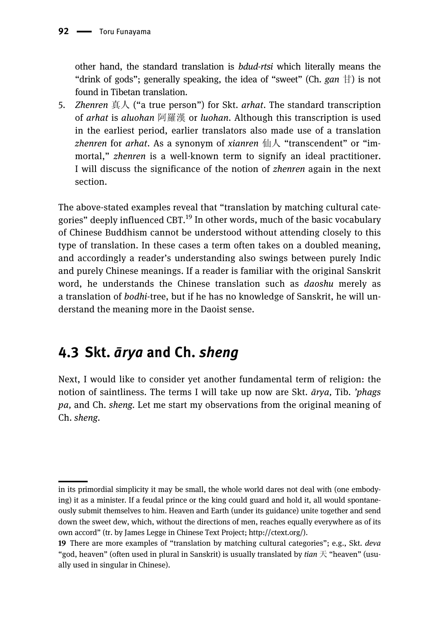other hand, the standard translation is bdud-rtsi which literally means the "drink of gods"; generally speaking, the idea of "sweet" (Ch. gan  $\pm$ ) is not found in Tibetan translation.

5. *Zhenren* 真人 ("a true person") for Skt. *arhat*. The standard transcription of arhat is aluohan 阿羅漢 or luohan. Although this transcription is used in the earliest period, earlier translators also made use of a translation zhenren for arhat. As a synonym of xianren  $\mathcal{H} \setminus \mathcal{H}$  "transcendent" or "immortal," zhenren is a well-known term to signify an ideal practitioner. I will discuss the significance of the notion of zhenren again in the next section.

The above-stated examples reveal that "translation by matching cultural categories" deeply influenced  $CBT<sup>19</sup>$  In other words, much of the basic vocabulary of Chinese Buddhism cannot be understood without attending closely to this type of translation. In these cases a term often takes on a doubled meaning, and accordingly a reader's understanding also swings between purely Indic and purely Chinese meanings. If a reader is familiar with the original Sanskrit word, he understands the Chinese translation such as daoshu merely as a translation of bodhi-tree, but if he has no knowledge of Sanskrit, he will understand the meaning more in the Daoist sense.

### 4.3 Skt. <sup>ā</sup>rya and Ch. sheng

Next, I would like to consider yet another fundamental term of religion: the notion of saintliness. The terms I will take up now are Skt.  $\bar{a}rya$ , Tib. 'phags pa, and Ch. sheng. Let me start my observations from the original meaning of Ch. sheng.

in its primordial simplicity it may be small, the whole world dares not deal with (one embodying) it as a minister. If a feudal prince or the king could guard and hold it, all would spontaneously submit themselves to him. Heaven and Earth (under its guidance) unite together and send down the sweet dew, which, without the directions of men, reaches equally everywhere as of its own accord" (tr. by James Legge in Chinese Text Project;<http://ctext.org/>).

<sup>19</sup> There are more examples of "translation by matching cultural categories"; e.g., Skt. *deva* "god, heaven" (often used in plural in Sanskrit) is usually translated by tian  $\pm$  "heaven" (usually used in singular in Chinese).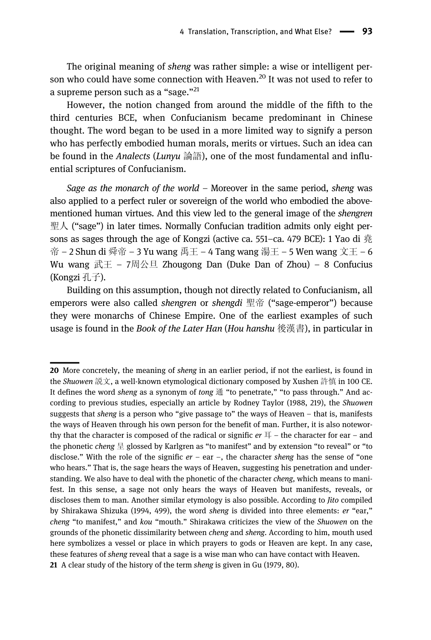The original meaning of sheng was rather simple: a wise or intelligent person who could have some connection with Heaven.<sup>20</sup> It was not used to refer to a supreme person such as a "sage." $^{21}$ 

However, the notion changed from around the middle of the fifth to the third centuries BCE, when Confucianism became predominant in Chinese thought. The word began to be used in a more limited way to signify a person who has perfectly embodied human morals, merits or virtues. Such an idea can be found in the *Analects* (*Lunyu* 論語), one of the most fundamental and influential scriptures of Confucianism.

Sage as the monarch of the world – Moreover in the same period, sheng was also applied to a perfect ruler or sovereign of the world who embodied the abovementioned human virtues. And this view led to the general image of the shengren 聖人 ("sage") in later times. Normally Confucian tradition admits only eight persons as sages through the age of Kongzi (active ca. 551–ca. 479 BCE): 1 Yao di 堯 帝 – 2 Shun di 舜帝 – 3 Yu wang 禹王 – 4 Tang wang 湯王 – 5 Wen wang 文王 – 6 Wu wang 武王 – 7周公旦 Zhougong Dan (Duke Dan of Zhou) – 8 Confucius (Kongzi 孔子).

Building on this assumption, though not directly related to Confucianism, all emperors were also called shengren or shengdi 聖帝 ("sage-emperor") because they were monarchs of Chinese Empire. One of the earliest examples of such usage is found in the *Book of the Later Han* (*Hou hanshu* 後漢書), in particular in

<sup>20</sup> More concretely, the meaning of sheng in an earlier period, if not the earliest, is found in the Shuowen 説文, a well-known etymological dictionary composed by Xushen 許慎 in 100 CE. It defines the word sheng as a synonym of tong 通 "to penetrate," "to pass through." And according to previous studies, especially an article by Rodney Taylor (1988, 219), the Shuowen suggests that sheng is a person who "give passage to" the ways of Heaven – that is, manifests the ways of Heaven through his own person for the benefit of man. Further, it is also noteworthy that the character is composed of the radical or signific  $er \nightharpoonup +$  the character for ear – and the phonetic cheng  $\pm$  glossed by Karlgren as "to manifest" and by extension "to reveal" or "to disclose." With the role of the signific  $er - ear -$ , the character sheng has the sense of "one who hears." That is, the sage hears the ways of Heaven, suggesting his penetration and understanding. We also have to deal with the phonetic of the character *cheng*, which means to manifest. In this sense, a sage not only hears the ways of Heaven but manifests, reveals, or discloses them to man. Another similar etymology is also possible. According to Jito compiled by Shirakawa Shizuka (1994, 499), the word sheng is divided into three elements: er "ear," cheng "to manifest," and kou "mouth." Shirakawa criticizes the view of the Shuowen on the grounds of the phonetic dissimilarity between cheng and sheng. According to him, mouth used here symbolizes a vessel or place in which prayers to gods or Heaven are kept. In any case, these features of sheng reveal that a sage is a wise man who can have contact with Heaven. 21 A clear study of the history of the term sheng is given in Gu (1979, 80).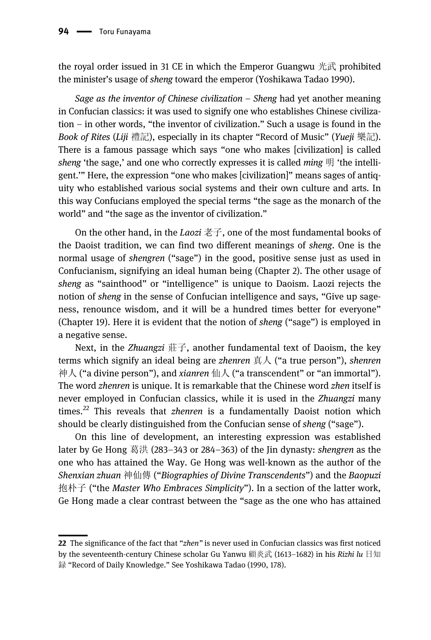the royal order issued in 31 CE in which the Emperor Guangwu 光武 prohibited the minister's usage of sheng toward the emperor (Yoshikawa Tadao 1990).

Sage as the inventor of Chinese civilization  $-$  Sheng had yet another meaning in Confucian classics: it was used to signify one who establishes Chinese civilization – in other words, "the inventor of civilization." Such a usage is found in the Book of Rites (Liji 禮記), especially in its chapter "Record of Music" (Yueji 樂記). There is a famous passage which says "one who makes [civilization] is called sheng 'the sage,' and one who correctly expresses it is called ming 明 'the intelligent.'" Here, the expression "one who makes [civilization]" means sages of antiquity who established various social systems and their own culture and arts. In this way Confucians employed the special terms "the sage as the monarch of the world" and "the sage as the inventor of civilization."

On the other hand, in the Laozi  $\overline{z}$ , one of the most fundamental books of the Daoist tradition, we can find two different meanings of sheng. One is the normal usage of shengren ("sage") in the good, positive sense just as used in Confucianism, signifying an ideal human being (Chapter 2). The other usage of sheng as "sainthood" or "intelligence" is unique to Daoism. Laozi rejects the notion of sheng in the sense of Confucian intelligence and says, "Give up sageness, renounce wisdom, and it will be a hundred times better for everyone" (Chapter 19). Here it is evident that the notion of sheng ("sage") is employed in a negative sense.

Next, in the *Zhuangzi*  $#f$ , another fundamental text of Daoism, the key terms which signify an ideal being are *zhenren*  $\overline{a} \wedge$  ("a true person"), *shenren* 神人 ("a divine person"), and xianren 仙人 ("a transcendent" or "an immortal"). The word zhenren is unique. It is remarkable that the Chinese word zhen itself is never employed in Confucian classics, while it is used in the *Zhuangzi* many times.<sup>22</sup> This reveals that zhenren is a fundamentally Daoist notion which should be clearly distinguished from the Confucian sense of sheng ("sage").

On this line of development, an interesting expression was established later by Ge Hong 葛洪 (283–343 or 284–363) of the Jin dynasty: shengren as the one who has attained the Way. Ge Hong was well-known as the author of the Shenxian zhuan 神仙傳 ("Biographies of Divine Transcendents") and the Baopuzi 抱朴子 ("the Master Who Embraces Simplicity"). In a section of the latter work, Ge Hong made a clear contrast between the "sage as the one who has attained

<sup>22</sup> The significance of the fact that " $zhen$ " is never used in Confucian classics was first noticed by the seventeenth-century Chinese scholar Gu Yanwu 顧炎武 (1613–1682) in his Rizhi lu 日知 録 "Record of Daily Knowledge." See Yoshikawa Tadao (1990, 178).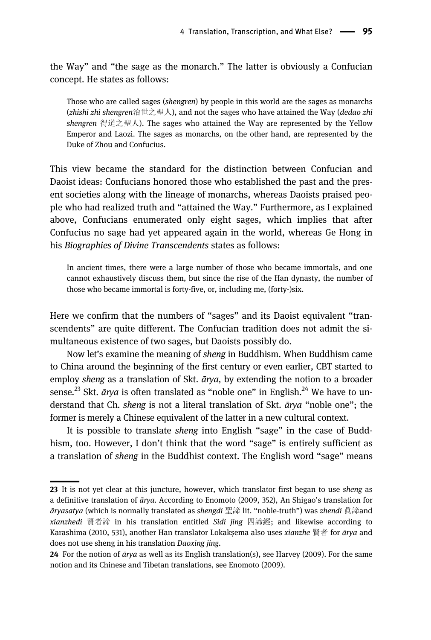the Way" and "the sage as the monarch." The latter is obviously a Confucian concept. He states as follows:

Those who are called sages (shengren) by people in this world are the sages as monarchs (zhishi zhi shengren治世之聖人), and not the sages who have attained the Way (dedao zhi shengren 得道之聖人). The sages who attained the Way are represented by the Yellow Emperor and Laozi. The sages as monarchs, on the other hand, are represented by the Duke of Zhou and Confucius.

This view became the standard for the distinction between Confucian and Daoist ideas: Confucians honored those who established the past and the present societies along with the lineage of monarchs, whereas Daoists praised people who had realized truth and "attained the Way." Furthermore, as I explained above, Confucians enumerated only eight sages, which implies that after Confucius no sage had yet appeared again in the world, whereas Ge Hong in his Biographies of Divine Transcendents states as follows:

In ancient times, there were a large number of those who became immortals, and one cannot exhaustively discuss them, but since the rise of the Han dynasty, the number of those who became immortal is forty-five, or, including me, (forty-)six.

Here we confirm that the numbers of "sages" and its Daoist equivalent "transcendents" are quite different. The Confucian tradition does not admit the simultaneous existence of two sages, but Daoists possibly do.

Now let's examine the meaning of sheng in Buddhism. When Buddhism came to China around the beginning of the first century or even earlier, CBT started to employ sheng as a translation of Skt.  $\bar{a}r\gamma a$ , by extending the notion to a broader sense.<sup>23</sup> Skt.  $\bar{a}rya$  is often translated as "noble one" in English.<sup>24</sup> We have to understand that Ch. sheng is not a literal translation of Skt.  $\bar{a}\gamma a$  "noble one"; the former is merely a Chinese equivalent of the latter in a new cultural context.

It is possible to translate sheng into English "sage" in the case of Buddhism, too. However, I don't think that the word "sage" is entirely sufficient as a translation of sheng in the Buddhist context. The English word "sage" means

<sup>23</sup> It is not yet clear at this juncture, however, which translator first began to use *sheng* as a definitive translation of ārya. According to Enomoto (2009, 352), An Shigao's translation for  $\bar{a}$ ryasatya (which is normally translated as shengdi 聖諦 lit. "noble-truth") was zhendi 眞諦and xianzhedi 賢者諦 in his translation entitled Sidi jing 四諦經; and likewise according to Karashima (2010, 531), another Han translator Lokakṣema also uses xianzhe 賢者 for ārya and does not use sheng in his translation *Daoxing jing*.

<sup>24</sup> For the notion of  $\bar{a}\gamma a$  as well as its English translation(s), see Harvey (2009). For the same notion and its Chinese and Tibetan translations, see Enomoto (2009).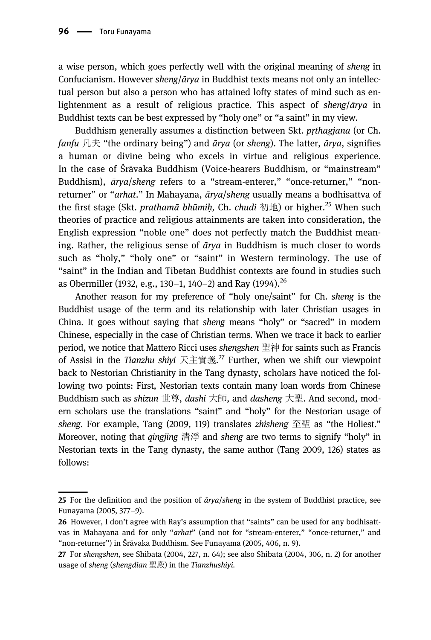a wise person, which goes perfectly well with the original meaning of sheng in Confucianism. However *sheng/ārya* in Buddhist texts means not only an intellectual person but also a person who has attained lofty states of mind such as enlightenment as a result of religious practice. This aspect of sheng/ $\bar{a}r$  in Buddhist texts can be best expressed by "holy one" or "a saint" in my view.

Buddhism generally assumes a distinction between Skt. *prthagjana* (or Ch. fanfu  $\mathcal{R}$   $\ddot{\uparrow}$  "the ordinary being") and  $\bar{a}r\gamma a$  (or sheng). The latter,  $\bar{a}r\gamma a$ , signifies a human or divine being who excels in virtue and religious experience. In the case of Śrāvaka Buddhism (Voice-hearers Buddhism, or "mainstream" Buddhism),  $\bar{a}rya/sheng$  refers to a "stream-enterer," "once-returner," "nonreturner" or "arhat." In Mahayana, ārya/sheng usually means a bodhisattva of the first stage (Skt. prathamā bhūmiḥ, Ch. chudi 初地) or higher.<sup>25</sup> When such theories of practice and religious attainments are taken into consideration, the English expression "noble one" does not perfectly match the Buddhist meaning. Rather, the religious sense of ārya in Buddhism is much closer to words such as "holy," "holy one" or "saint" in Western terminology. The use of "saint" in the Indian and Tibetan Buddhist contexts are found in studies such as Obermiller (1932, e.g., 130–1, 140–2) and Ray (1994).<sup>26</sup>

Another reason for my preference of "holy one/saint" for Ch. sheng is the Buddhist usage of the term and its relationship with later Christian usages in China. It goes without saying that sheng means "holy" or "sacred" in modern Chinese, especially in the case of Christian terms. When we trace it back to earlier period, we notice that Mattero Ricci uses shengshen 聖神 for saints such as Francis of Assisi in the *Tianzhu shiyi* 天主實義.<sup>27</sup> Further, when we shift our viewpoint back to Nestorian Christianity in the Tang dynasty, scholars have noticed the following two points: First, Nestorian texts contain many loan words from Chinese Buddhism such as shizun 世尊, dashi 大師, and dasheng 大聖. And second, modern scholars use the translations "saint" and "holy" for the Nestorian usage of sheng. For example, Tang (2009, 119) translates *zhisheng*  $\mathfrak{F}\mathfrak{Y}$  as "the Holiest." Moreover, noting that *qingjing* 清淨 and *sheng* are two terms to signify "holy" in Nestorian texts in the Tang dynasty, the same author (Tang 2009, 126) states as follows:

<sup>25</sup> For the definition and the position of  $\bar{a}rya/sheng$  in the system of Buddhist practice, see Funayama (2005, 377–9).

<sup>26</sup> However, I don't agree with Ray's assumption that "saints" can be used for any bodhisattvas in Mahayana and for only "arhat" (and not for "stream-enterer," "once-returner," and "non-returner") in Śrāvaka Buddhism. See Funayama (2005, 406, n. 9).

<sup>27</sup> For shengshen, see Shibata (2004, 227, n. 64); see also Shibata (2004, 306, n. 2) for another usage of sheng (shengdian 聖殿) in the Tianzhushiyi.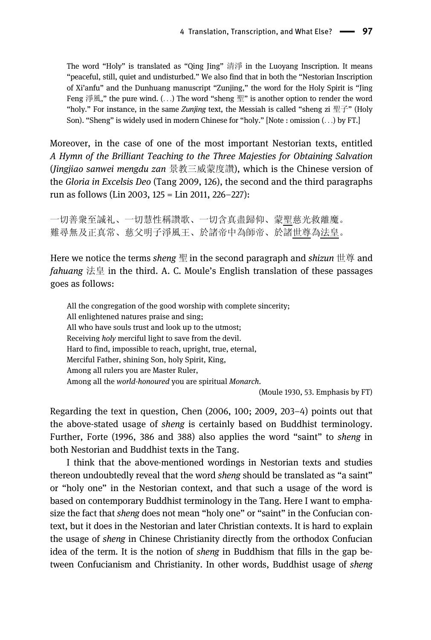The word "Holy" is translated as "Qing Jing" 清淨 in the Luoyang Inscription. It means "peaceful, still, quiet and undisturbed." We also find that in both the "Nestorian Inscription of Xi'anfu" and the Dunhuang manuscript "Zunjing," the word for the Holy Spirit is "Jing Feng 淨風," the pure wind. (...) The word "sheng 聖" is another option to render the word "holy." For instance, in the same Zunjing text, the Messiah is called "sheng zi 聖子" (Holy Son). "Sheng" is widely used in modern Chinese for "holy." [Note : omission (...) by FT.]

Moreover, in the case of one of the most important Nestorian texts, entitled A Hymn of the Brilliant Teaching to the Three Majesties for Obtaining Salvation (Jingjiao sanwei mengdu zan 景教三威蒙度讚), which is the Chinese version of the Gloria in Excelsis Deo (Tang 2009, 126), the second and the third paragraphs run as follows (Lin 2003, 125 = Lin 2011, 226–227):

一切善衆至誠礼、一切慧性稱讚歌、一切含真盡歸仰、蒙聖慈光救離魔。 難尋無及正真常、慈父明子淨風王、於諸帝中為師帝、於諸世尊為法皇。

Here we notice the terms sheng 聖 in the second paragraph and shizun 世尊 and *fahuang* 法皇 in the third. A. C. Moule's English translation of these passages goes as follows:

All the congregation of the good worship with complete sincerity; All enlightened natures praise and sing; All who have souls trust and look up to the utmost; Receiving holy merciful light to save from the devil. Hard to find, impossible to reach, upright, true, eternal, Merciful Father, shining Son, holy Spirit, King, Among all rulers you are Master Ruler, Among all the world-honoured you are spiritual Monarch.

(Moule 1930, 53. Emphasis by FT)

Regarding the text in question, Chen (2006, 100; 2009, 203–4) points out that the above-stated usage of sheng is certainly based on Buddhist terminology. Further, Forte (1996, 386 and 388) also applies the word "saint" to sheng in both Nestorian and Buddhist texts in the Tang.

I think that the above-mentioned wordings in Nestorian texts and studies thereon undoubtedly reveal that the word sheng should be translated as "a saint" or "holy one" in the Nestorian context, and that such a usage of the word is based on contemporary Buddhist terminology in the Tang. Here I want to emphasize the fact that sheng does not mean "holy one" or "saint" in the Confucian context, but it does in the Nestorian and later Christian contexts. It is hard to explain the usage of sheng in Chinese Christianity directly from the orthodox Confucian idea of the term. It is the notion of sheng in Buddhism that fills in the gap between Confucianism and Christianity. In other words, Buddhist usage of sheng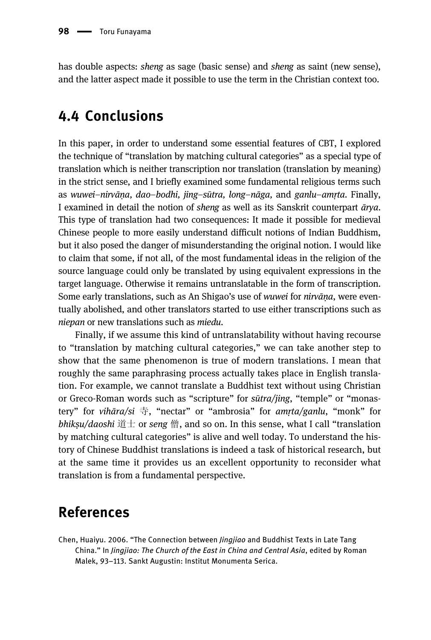has double aspects: *sheng* as sage (basic sense) and *sheng* as saint (new sense), and the latter aspect made it possible to use the term in the Christian context too.

### 4.4 Conclusions

In this paper, in order to understand some essential features of CBT, I explored the technique of "translation by matching cultural categories" as a special type of translation which is neither transcription nor translation (translation by meaning) in the strict sense, and I briefly examined some fundamental religious terms such as wuwei–nirvāṇa, dao–bodhi, jing–sūtra, long–nāga, and ganlu–amṛta. Finally, I examined in detail the notion of sheng as well as its Sanskrit counterpart ārya. This type of translation had two consequences: It made it possible for medieval Chinese people to more easily understand difficult notions of Indian Buddhism, but it also posed the danger of misunderstanding the original notion. I would like to claim that some, if not all, of the most fundamental ideas in the religion of the source language could only be translated by using equivalent expressions in the target language. Otherwise it remains untranslatable in the form of transcription. Some early translations, such as An Shigao's use of wuwei for nirvāņa, were eventually abolished, and other translators started to use either transcriptions such as niepan or new translations such as miedu.

Finally, if we assume this kind of untranslatability without having recourse to "translation by matching cultural categories," we can take another step to show that the same phenomenon is true of modern translations. I mean that roughly the same paraphrasing process actually takes place in English translation. For example, we cannot translate a Buddhist text without using Christian or Greco-Roman words such as "scripture" for sūtra/jing, "temple" or "monastery" for vihāra/si 寺, "nectar" or "ambrosia" for amṛta/ganlu, "monk" for bhiksu/daoshi 道士 or seng 僧, and so on. In this sense, what I call "translation by matching cultural categories" is alive and well today. To understand the history of Chinese Buddhist translations is indeed a task of historical research, but at the same time it provides us an excellent opportunity to reconsider what translation is from a fundamental perspective.

### References

Chen, Huaiyu. 2006. "The Connection between Jingjiao and Buddhist Texts in Late Tang China." In Jingjiao: The Church of the East in China and Central Asia, edited by Roman Malek, 93–113. Sankt Augustin: Institut Monumenta Serica.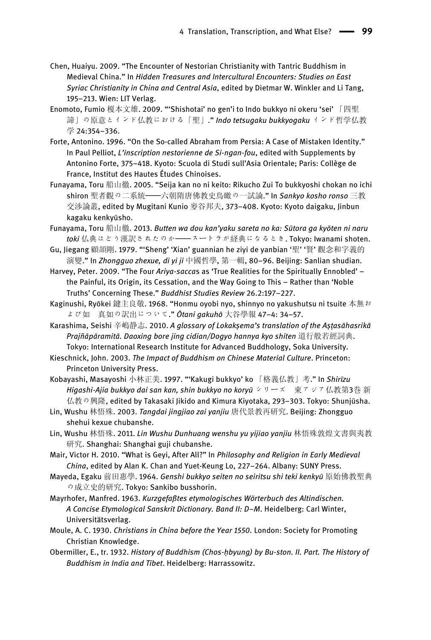- Chen, Huaiyu. 2009. "The Encounter of Nestorian Christianity with Tantric Buddhism in Medieval China." In Hidden Treasures and Intercultural Encounters: Studies on East Syriac Christianity in China and Central Asia, edited by Dietmar W. Winkler and Li Tang, 195–213. Wien: LIT Verlag.
- Enomoto, Fumio 榎本文雄. 2009. "'Shishotai' no gen'i to Indo bukkyo ni okeru 'sei' 「四聖 諦」の原意とインド仏教における「聖」." Indo tetsugaku bukkyogaku インド哲学仏教 学 24:354–336.
- Forte, Antonino. 1996. "On the So-called Abraham from Persia: A Case of Mistaken Identity." In Paul Pelliot, L'inscription nestorienne de Si-ngan-fou, edited with Supplements by Antonino Forte, 375–418. Kyoto: Scuola di Studi sull'Asia Orientale; Paris: Collège de France, Institut des Hautes Études Chinoises.
- Funayama, Toru 船山徹. 2005. "Seija kan no ni keito: Rikucho Zui To bukkyoshi chokan no ichi shiron 聖者觀の二系統──六朝隋唐佛教史鳥瞰の一試論." In Sankyo kosho ronso 三教 交渉論叢, edited by Mugitani Kunio 麥谷邦夫, 373–408. Kyoto: Kyoto daigaku, Jinbun kagaku kenkyūsho.
- Funayama, Toru 船山徹. 2013. Butten wa dou kan'yaku sareta no ka: Sūtora ga kyōten ni naru toki 仏典はどう漢訳されたのか──スートラが経典になるとき. Tokyo: Iwanami shoten.
- Gu, Jiegang 顧頡剛. 1979. "'Sheng' 'Xian' guannian he ziyi de yanbian '聖' '賢' 觀念和字義的 演變." In Zhongguo zhexue, di yi ji 中國哲學, 第一輯, 80–96. Beijing: Sanlian shudian.
- Harvey, Peter. 2009. "The Four Ariya-saccas as 'True Realities for the Spiritually Ennobled' the Painful, its Origin, its Cessation, and the Way Going to This – Rather than 'Noble Truths' Concerning These." Buddhist Studies Review 26.2:197–227.
- Kaginushi, Ryōkei 鍵主良敬. 1968. "Honmu oyobi nyo, shinnyo no yakushutsu ni tsuite 本無お よび如 真如の訳出について." Ōtani gakuhō 大谷學報 47–4: 34–57.
- Karashima, Seishi 辛嶋静志. 2010. A glossary of Lokaksema's translation of the Astasāhasrikā Prajñāpāramitā. Daoxing bore jing cidian/Dogyo hannya kyo shiten 道行般若經詞典. Tokyo: International Research Institute for Advanced Buddhology, Soka University.
- Kieschnick, John. 2003. The Impact of Buddhism on Chinese Material Culture. Princeton: Princeton University Press.
- Kobayashi, Masayoshi 小林正美. 1997. "'Kakugi bukkyo' ko 「格義仏教」考." In Shirīzu Higashi-Ajia bukkyo dai san kan, shin bukkyo no koryū シリーズ 東アジア仏教第3巻 新 仏教の興隆, edited by Takasaki Jikido and Kimura Kiyotaka, 293–303. Tokyo: Shunjūsha.
- Lin, Wushu 林悟殊. 2003. Tangdai jingjiao zai yanjiu 唐代景教再研究. Beijing: Zhongguo shehui kexue chubanshe.
- Lin, Wushu 林悟殊. 2011. Lin Wushu Dunhuang wenshu yu yijiao yanjiu 林悟殊敦煌文書與夷教 研究. Shanghai: Shanghai guji chubanshe.
- Mair, Victor H. 2010. "What is Geyi, After All?" In Philosophy and Religion in Early Medieval China, edited by Alan K. Chan and Yuet-Keung Lo, 227–264. Albany: SUNY Press.
- Mayeda, Egaku 前田惠學. 1964. Genshi bukkyo seiten no seiritsu shi teki kenkyū 原始佛教聖典 の成立史的研究. Tokyo: Sankibo busshorin.
- Mayrhofer, Manfred. 1963. Kurzgefaßtes etymologisches Wörterbuch des Altindischen. A Concise Etymological Sanskrit Dictionary. Band II: D–M. Heidelberg: Carl Winter, Universitätsverlag.
- Moule, A. C. 1930. Christians in China before the Year 1550. London: Society for Promoting Christian Knowledge.
- Obermiller, E., tr. 1932. History of Buddhism (Chos-hbyung) by Bu-ston. II. Part. The History of Buddhism in India and Tibet. Heidelberg: Harrassowitz.